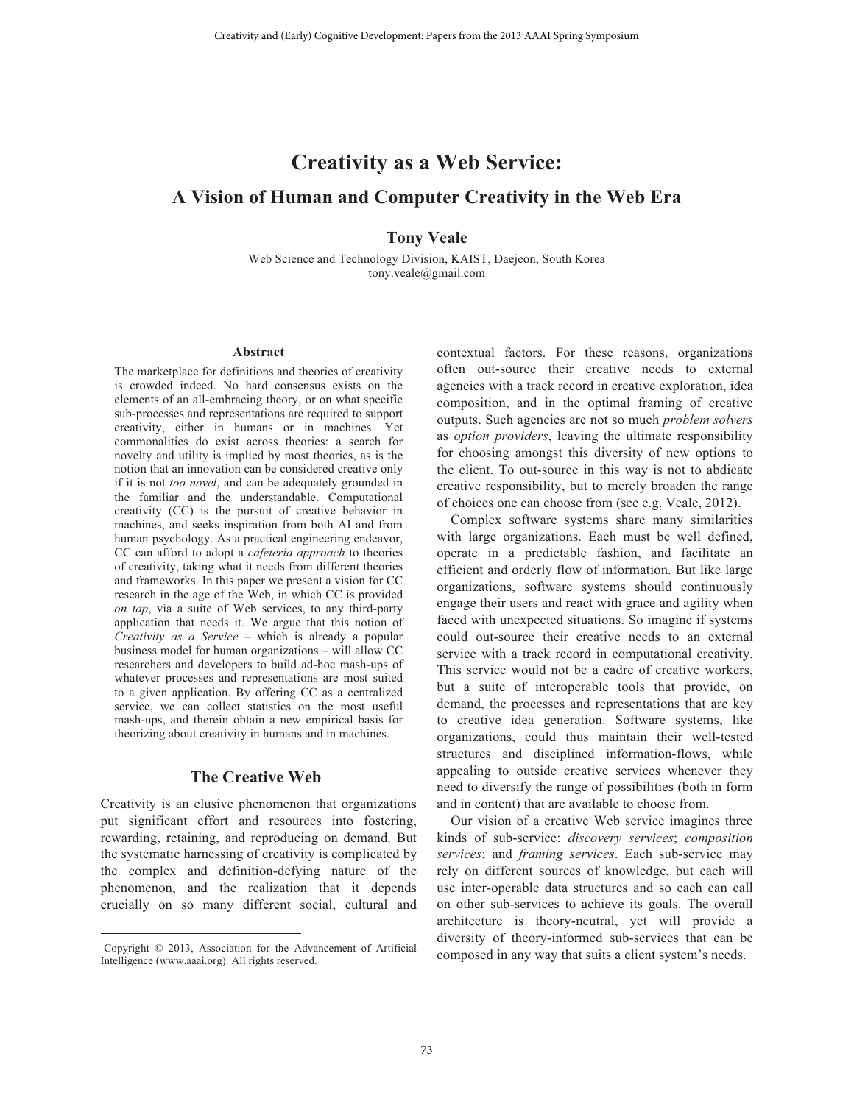# **Creativity as a Web Service: A Vision of Human and Computer Creativity in the Web Era**

## **Tony Veale**

Web Science and Technology Division, KAIST, Daejeon, South Korea tony.veale@gmail.com

#### **Abstract**

The marketplace for definitions and theories of creativity is crowded indeed. No hard consensus exists on the elements of an all-embracing theory, or on what specific sub-processes and representations are required to support creativity, either in humans or in machines. Yet commonalities do exist across theories: a search for novelty and utility is implied by most theories, as is the notion that an innovation can be considered creative only if it is not *too novel*, and can be adequately grounded in the familiar and the understandable. Computational creativity (CC) is the pursuit of creative behavior in machines, and seeks inspiration from both AI and from human psychology. As a practical engineering endeavor, CC can afford to adopt a *cafeteria approach* to theories of creativity, taking what it needs from different theories and frameworks. In this paper we present a vision for CC research in the age of the Web, in which CC is provided *on tap*, via a suite of Web services, to any third-party application that needs it. We argue that this notion of *Creativity as a Service* – which is already a popular business model for human organizations – will allow CC researchers and developers to build ad-hoc mash-ups of whatever processes and representations are most suited to a given application. By offering CC as a centralized service, we can collect statistics on the most useful mash-ups, and therein obtain a new empirical basis for theorizing about creativity in humans and in machines.

## **The Creative Web**

Creativity is an elusive phenomenon that organizations put significant effort and resources into fostering, rewarding, retaining, and reproducing on demand. But the systematic harnessing of creativity is complicated by the complex and definition-defying nature of the phenomenon, and the realization that it depends crucially on so many different social, cultural and

 $\overline{a}$ 

contextual factors. For these reasons, organizations often out-source their creative needs to external agencies with a track record in creative exploration, idea composition, and in the optimal framing of creative outputs. Such agencies are not so much *problem solvers* as *option providers*, leaving the ultimate responsibility for choosing amongst this diversity of new options to the client. To out-source in this way is not to abdicate creative responsibility, but to merely broaden the range of choices one can choose from (see e.g. Veale, 2012).

 Complex software systems share many similarities with large organizations. Each must be well defined, operate in a predictable fashion, and facilitate an efficient and orderly flow of information. But like large organizations, software systems should continuously engage their users and react with grace and agility when faced with unexpected situations. So imagine if systems could out-source their creative needs to an external service with a track record in computational creativity. This service would not be a cadre of creative workers, but a suite of interoperable tools that provide, on demand, the processes and representations that are key to creative idea generation. Software systems, like organizations, could thus maintain their well-tested structures and disciplined information-flows, while appealing to outside creative services whenever they need to diversify the range of possibilities (both in form and in content) that are available to choose from.

 Our vision of a creative Web service imagines three kinds of sub-service: *discovery services*; *composition services*; and *framing services*. Each sub-service may rely on different sources of knowledge, but each will use inter-operable data structures and so each can call on other sub-services to achieve its goals. The overall architecture is theory-neutral, yet will provide a diversity of theory-informed sub-services that can be composed in any way that suits a client system's needs.

Copyright © 2013, Association for the Advancement of Artificial Intelligence (www.aaai.org). All rights reserved.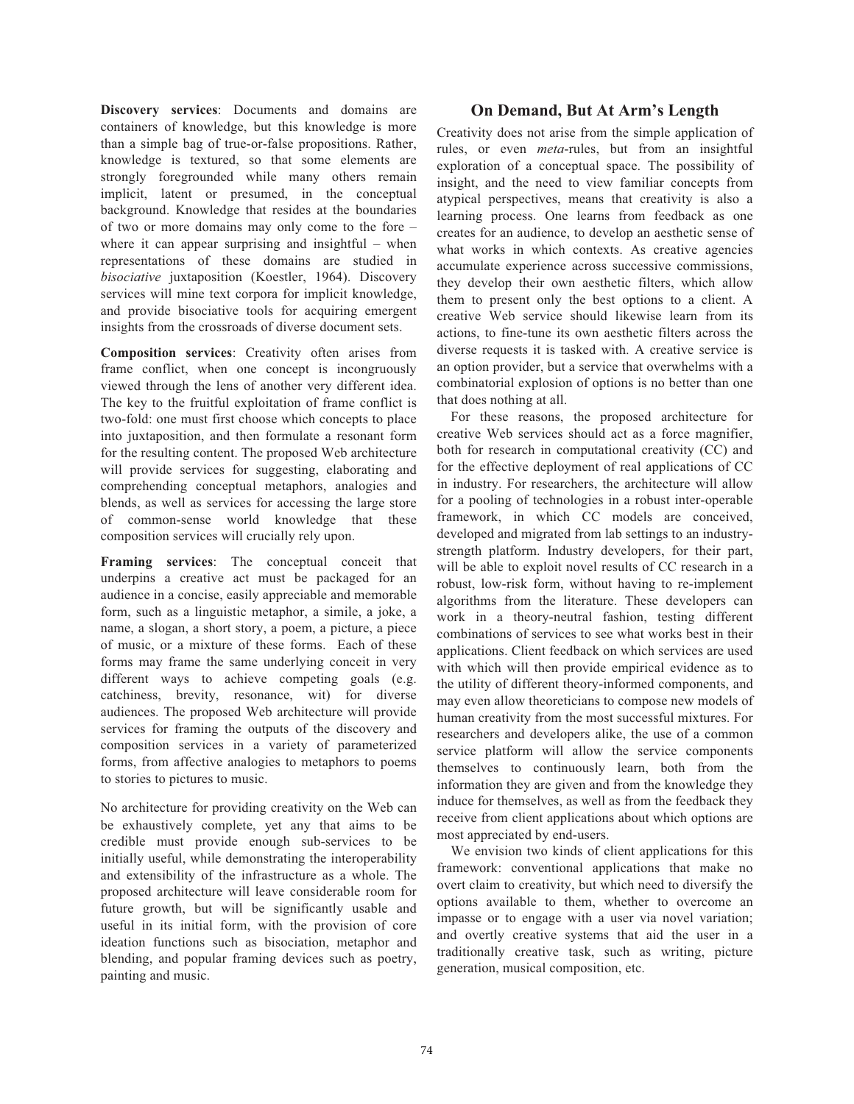**Discovery services**: Documents and domains are containers of knowledge, but this knowledge is more than a simple bag of true-or-false propositions. Rather, knowledge is textured, so that some elements are strongly foregrounded while many others remain implicit, latent or presumed, in the conceptual background. Knowledge that resides at the boundaries of two or more domains may only come to the fore – where it can appear surprising and insightful – when representations of these domains are studied in *bisociative* juxtaposition (Koestler, 1964). Discovery services will mine text corpora for implicit knowledge, and provide bisociative tools for acquiring emergent insights from the crossroads of diverse document sets.

**Composition services**: Creativity often arises from frame conflict, when one concept is incongruously viewed through the lens of another very different idea. The key to the fruitful exploitation of frame conflict is two-fold: one must first choose which concepts to place into juxtaposition, and then formulate a resonant form for the resulting content. The proposed Web architecture will provide services for suggesting, elaborating and comprehending conceptual metaphors, analogies and blends, as well as services for accessing the large store of common-sense world knowledge that these composition services will crucially rely upon.

**Framing services**: The conceptual conceit that underpins a creative act must be packaged for an audience in a concise, easily appreciable and memorable form, such as a linguistic metaphor, a simile, a joke, a name, a slogan, a short story, a poem, a picture, a piece of music, or a mixture of these forms. Each of these forms may frame the same underlying conceit in very different ways to achieve competing goals (e.g. catchiness, brevity, resonance, wit) for diverse audiences. The proposed Web architecture will provide services for framing the outputs of the discovery and composition services in a variety of parameterized forms, from affective analogies to metaphors to poems to stories to pictures to music.

No architecture for providing creativity on the Web can be exhaustively complete, yet any that aims to be credible must provide enough sub-services to be initially useful, while demonstrating the interoperability and extensibility of the infrastructure as a whole. The proposed architecture will leave considerable room for future growth, but will be significantly usable and useful in its initial form, with the provision of core ideation functions such as bisociation, metaphor and blending, and popular framing devices such as poetry, painting and music.

## **On Demand, But At Arm's Length**

Creativity does not arise from the simple application of rules, or even *meta*-rules, but from an insightful exploration of a conceptual space. The possibility of insight, and the need to view familiar concepts from atypical perspectives, means that creativity is also a learning process. One learns from feedback as one creates for an audience, to develop an aesthetic sense of what works in which contexts. As creative agencies accumulate experience across successive commissions, they develop their own aesthetic filters, which allow them to present only the best options to a client. A creative Web service should likewise learn from its actions, to fine-tune its own aesthetic filters across the diverse requests it is tasked with. A creative service is an option provider, but a service that overwhelms with a combinatorial explosion of options is no better than one that does nothing at all.

 For these reasons, the proposed architecture for creative Web services should act as a force magnifier, both for research in computational creativity (CC) and for the effective deployment of real applications of CC in industry. For researchers, the architecture will allow for a pooling of technologies in a robust inter-operable framework, in which CC models are conceived, developed and migrated from lab settings to an industrystrength platform. Industry developers, for their part, will be able to exploit novel results of CC research in a robust, low-risk form, without having to re-implement algorithms from the literature. These developers can work in a theory-neutral fashion, testing different combinations of services to see what works best in their applications. Client feedback on which services are used with which will then provide empirical evidence as to the utility of different theory-informed components, and may even allow theoreticians to compose new models of human creativity from the most successful mixtures. For researchers and developers alike, the use of a common service platform will allow the service components themselves to continuously learn, both from the information they are given and from the knowledge they induce for themselves, as well as from the feedback they receive from client applications about which options are most appreciated by end-users.

We envision two kinds of client applications for this framework: conventional applications that make no overt claim to creativity, but which need to diversify the options available to them, whether to overcome an impasse or to engage with a user via novel variation; and overtly creative systems that aid the user in a traditionally creative task, such as writing, picture generation, musical composition, etc.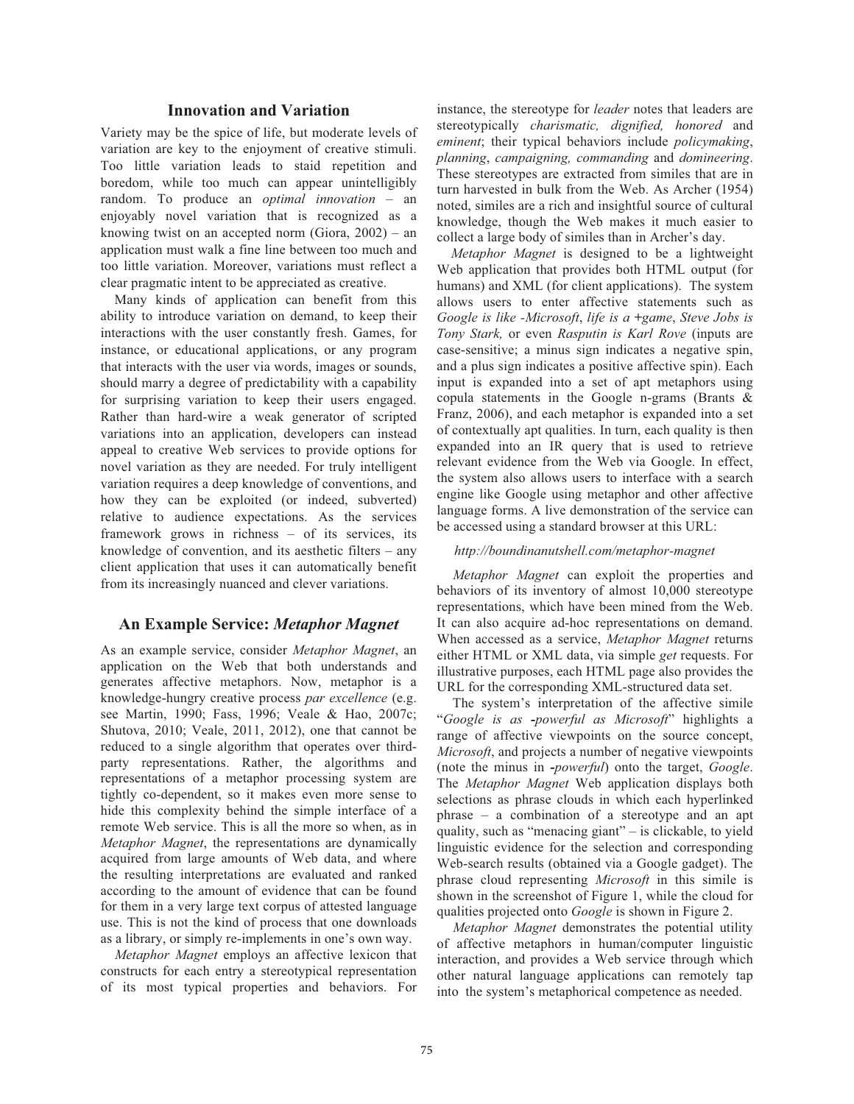## **Innovation and Variation**

Variety may be the spice of life, but moderate levels of variation are key to the enjoyment of creative stimuli. Too little variation leads to staid repetition and boredom, while too much can appear unintelligibly random. To produce an *optimal innovation* – an enjoyably novel variation that is recognized as a knowing twist on an accepted norm (Giora, 2002) – an application must walk a fine line between too much and too little variation. Moreover, variations must reflect a clear pragmatic intent to be appreciated as creative.

 Many kinds of application can benefit from this ability to introduce variation on demand, to keep their interactions with the user constantly fresh. Games, for instance, or educational applications, or any program that interacts with the user via words, images or sounds, should marry a degree of predictability with a capability for surprising variation to keep their users engaged. Rather than hard-wire a weak generator of scripted variations into an application, developers can instead appeal to creative Web services to provide options for novel variation as they are needed. For truly intelligent variation requires a deep knowledge of conventions, and how they can be exploited (or indeed, subverted) relative to audience expectations. As the services framework grows in richness – of its services, its knowledge of convention, and its aesthetic filters – any client application that uses it can automatically benefit from its increasingly nuanced and clever variations.

## **An Example Service:** *Metaphor Magnet*

As an example service, consider *Metaphor Magnet*, an application on the Web that both understands and generates affective metaphors. Now, metaphor is a knowledge-hungry creative process *par excellence* (e.g. see Martin, 1990; Fass, 1996; Veale & Hao, 2007c; Shutova, 2010; Veale, 2011, 2012), one that cannot be reduced to a single algorithm that operates over thirdparty representations. Rather, the algorithms and representations of a metaphor processing system are tightly co-dependent, so it makes even more sense to hide this complexity behind the simple interface of a remote Web service. This is all the more so when, as in *Metaphor Magnet*, the representations are dynamically acquired from large amounts of Web data, and where the resulting interpretations are evaluated and ranked according to the amount of evidence that can be found for them in a very large text corpus of attested language use. This is not the kind of process that one downloads as a library, or simply re-implements in one's own way.

*Metaphor Magnet* employs an affective lexicon that constructs for each entry a stereotypical representation of its most typical properties and behaviors. For instance, the stereotype for *leader* notes that leaders are stereotypically *charismatic, dignified, honored* and *eminent*; their typical behaviors include *policymaking*, *planning*, *campaigning, commanding* and *domineering*. These stereotypes are extracted from similes that are in turn harvested in bulk from the Web. As Archer (1954) noted, similes are a rich and insightful source of cultural knowledge, though the Web makes it much easier to collect a large body of similes than in Archer's day.

*Metaphor Magnet* is designed to be a lightweight Web application that provides both HTML output (for humans) and XML (for client applications). The system allows users to enter affective statements such as *Google is like -Microsoft*, *life is a +game*, *Steve Jobs is Tony Stark,* or even *Rasputin is Karl Rove* (inputs are case-sensitive; a minus sign indicates a negative spin, and a plus sign indicates a positive affective spin). Each input is expanded into a set of apt metaphors using copula statements in the Google n-grams (Brants & Franz, 2006), and each metaphor is expanded into a set of contextually apt qualities. In turn, each quality is then expanded into an IR query that is used to retrieve relevant evidence from the Web via Google. In effect, the system also allows users to interface with a search engine like Google using metaphor and other affective language forms. A live demonstration of the service can be accessed using a standard browser at this URL:

#### *http://boundinanutshell.com/metaphor-magnet*

*Metaphor Magnet* can exploit the properties and behaviors of its inventory of almost 10,000 stereotype representations, which have been mined from the Web. It can also acquire ad-hoc representations on demand. When accessed as a service, *Metaphor Magnet* returns either HTML or XML data, via simple *get* requests. For illustrative purposes, each HTML page also provides the URL for the corresponding XML-structured data set.

The system's interpretation of the affective simile "*Google is as -powerful as Microsoft*" highlights a range of affective viewpoints on the source concept, *Microsoft*, and projects a number of negative viewpoints (note the minus in **-***powerful*) onto the target, *Google*. The *Metaphor Magnet* Web application displays both selections as phrase clouds in which each hyperlinked phrase – a combination of a stereotype and an apt quality, such as "menacing giant" – is clickable, to yield linguistic evidence for the selection and corresponding Web-search results (obtained via a Google gadget). The phrase cloud representing *Microsoft* in this simile is shown in the screenshot of Figure 1, while the cloud for qualities projected onto *Google* is shown in Figure 2.

*Metaphor Magnet* demonstrates the potential utility of affective metaphors in human/computer linguistic interaction, and provides a Web service through which other natural language applications can remotely tap into the system's metaphorical competence as needed.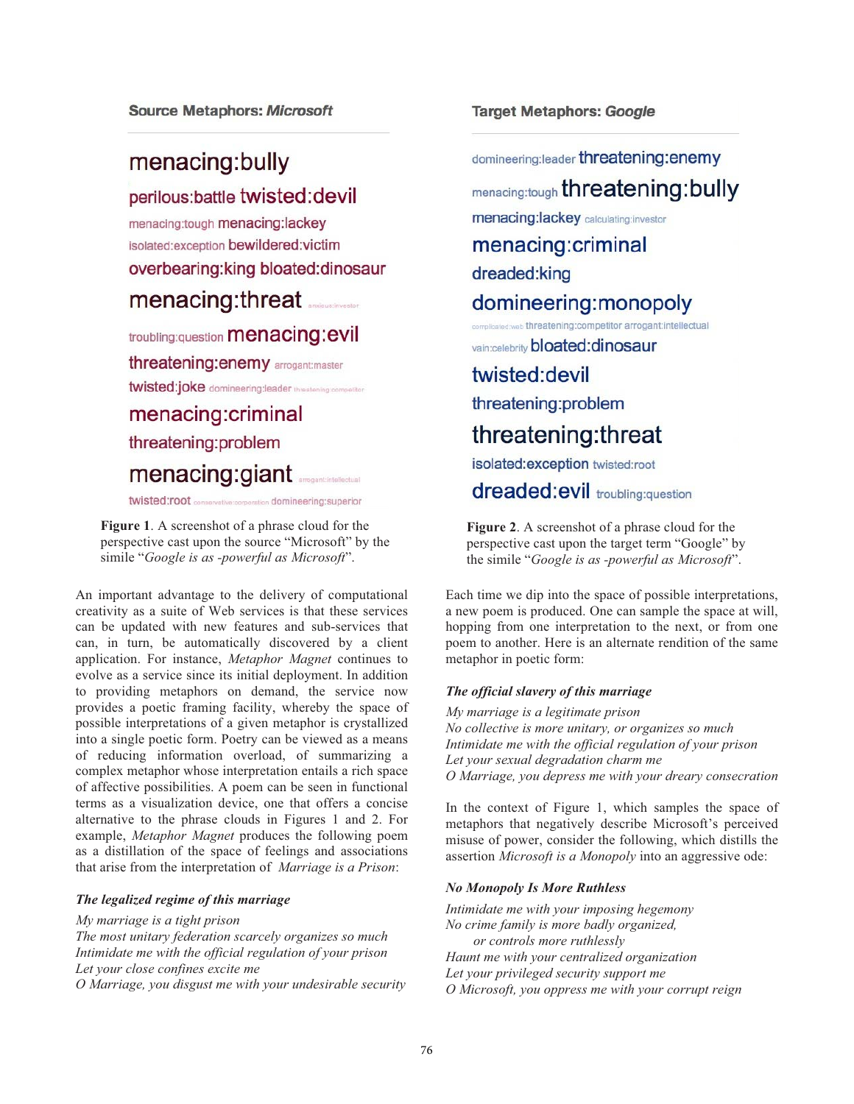## menacing:bully

perilous: battle twisted: devil menacing:tough menacing:lackey isolated:exception bewildered:victim overbearing: king bloated: dinosaur menacing:threat

# troubling:question menacing:evil

threatening: enemy arrogant: master

twisted:joke domineering:leader threatening:competitor

menacing:criminal threatening:problem menacing:giant

twisted:root **conservative:corporation** domineering:superior

**Figure 1**. A screenshot of a phrase cloud for the perspective cast upon the source "Microsoft" by the simile "*Google is as -powerful as Microsoft*".

An important advantage to the delivery of computational creativity as a suite of Web services is that these services can be updated with new features and sub-services that can, in turn, be automatically discovered by a client application. For instance, *Metaphor Magnet* continues to evolve as a service since its initial deployment. In addition to providing metaphors on demand, the service now provides a poetic framing facility, whereby the space of possible interpretations of a given metaphor is crystallized into a single poetic form. Poetry can be viewed as a means of reducing information overload, of summarizing a complex metaphor whose interpretation entails a rich space of affective possibilities. A poem can be seen in functional terms as a visualization device, one that offers a concise alternative to the phrase clouds in Figures 1 and 2. For example, *Metaphor Magnet* produces the following poem as a distillation of the space of feelings and associations that arise from the interpretation of *Marriage is a Prison*:

### *The legalized regime of this marriage*

*My marriage is a tight prison The most unitary federation scarcely organizes so much Intimidate me with the official regulation of your prison Let your close confines excite me O Marriage, you disgust me with your undesirable security* **Target Metaphors: Google** 

domineering:leader threatening:enemy menacing:tough threatening:bully menacing:lackey calculating:investor menacing:criminal dreaded:king domineering: monopoly licated web threatening:competitor arrogant:intellectual vain:celebrity bloated:dinosaur twisted: devil threatening:problem threatening: threat isolated:exception twisted:root dreaded:evil troubling:question

**Figure 2**. A screenshot of a phrase cloud for the perspective cast upon the target term "Google" by the simile "*Google is as -powerful as Microsoft*".

Each time we dip into the space of possible interpretations, a new poem is produced. One can sample the space at will, hopping from one interpretation to the next, or from one poem to another. Here is an alternate rendition of the same metaphor in poetic form:

### *The official slavery of this marriage*

*My marriage is a legitimate prison No collective is more unitary, or organizes so much Intimidate me with the official regulation of your prison Let your sexual degradation charm me O Marriage, you depress me with your dreary consecration* 

In the context of Figure 1, which samples the space of metaphors that negatively describe Microsoft's perceived misuse of power, consider the following, which distills the assertion *Microsoft is a Monopoly* into an aggressive ode:

### *No Monopoly Is More Ruthless*

*Intimidate me with your imposing hegemony No crime family is more badly organized, or controls more ruthlessly Haunt me with your centralized organization Let your privileged security support me O Microsoft, you oppress me with your corrupt reign*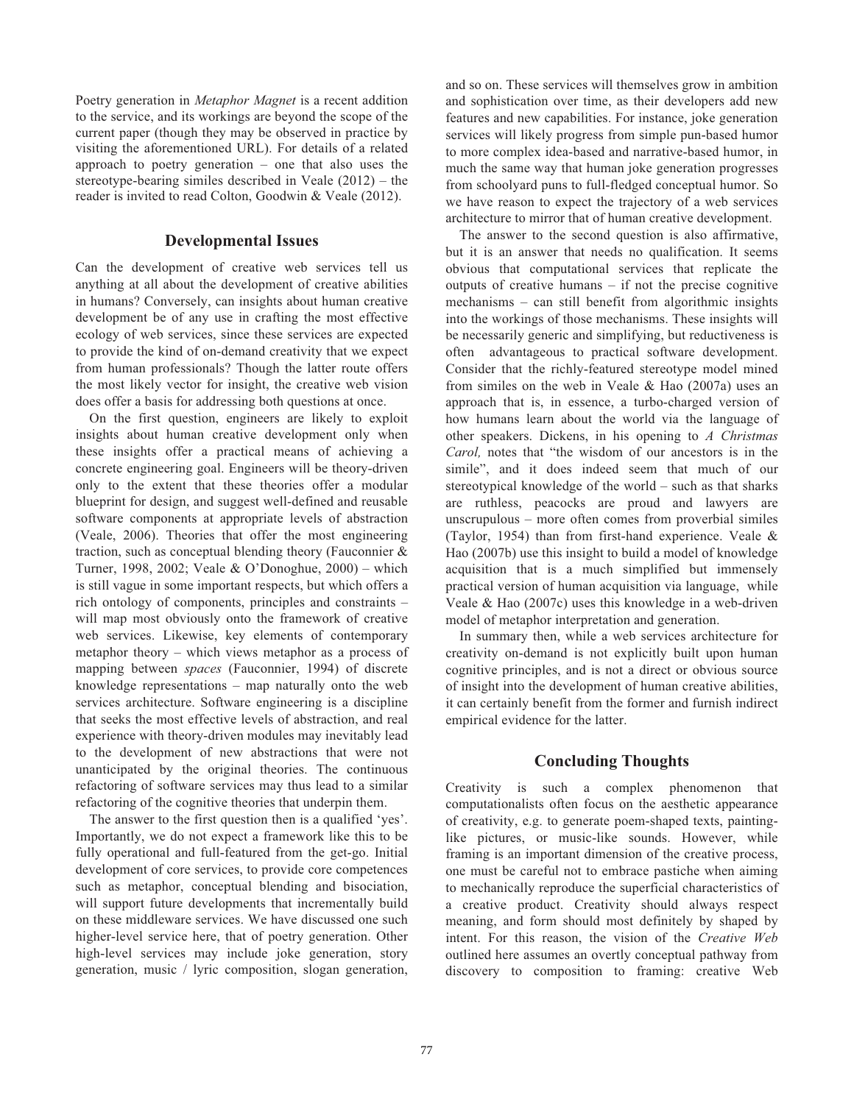Poetry generation in *Metaphor Magnet* is a recent addition to the service, and its workings are beyond the scope of the current paper (though they may be observed in practice by visiting the aforementioned URL). For details of a related approach to poetry generation – one that also uses the stereotype-bearing similes described in Veale (2012) – the reader is invited to read Colton, Goodwin & Veale (2012).

## **Developmental Issues**

Can the development of creative web services tell us anything at all about the development of creative abilities in humans? Conversely, can insights about human creative development be of any use in crafting the most effective ecology of web services, since these services are expected to provide the kind of on-demand creativity that we expect from human professionals? Though the latter route offers the most likely vector for insight, the creative web vision does offer a basis for addressing both questions at once.

 On the first question, engineers are likely to exploit insights about human creative development only when these insights offer a practical means of achieving a concrete engineering goal. Engineers will be theory-driven only to the extent that these theories offer a modular blueprint for design, and suggest well-defined and reusable software components at appropriate levels of abstraction (Veale, 2006). Theories that offer the most engineering traction, such as conceptual blending theory (Fauconnier & Turner, 1998, 2002; Veale & O'Donoghue, 2000) – which is still vague in some important respects, but which offers a rich ontology of components, principles and constraints – will map most obviously onto the framework of creative web services. Likewise, key elements of contemporary metaphor theory – which views metaphor as a process of mapping between *spaces* (Fauconnier, 1994) of discrete knowledge representations – map naturally onto the web services architecture. Software engineering is a discipline that seeks the most effective levels of abstraction, and real experience with theory-driven modules may inevitably lead to the development of new abstractions that were not unanticipated by the original theories. The continuous refactoring of software services may thus lead to a similar refactoring of the cognitive theories that underpin them.

 The answer to the first question then is a qualified 'yes'. Importantly, we do not expect a framework like this to be fully operational and full-featured from the get-go. Initial development of core services, to provide core competences such as metaphor, conceptual blending and bisociation, will support future developments that incrementally build on these middleware services. We have discussed one such higher-level service here, that of poetry generation. Other high-level services may include joke generation, story generation, music / lyric composition, slogan generation,

and so on. These services will themselves grow in ambition and sophistication over time, as their developers add new features and new capabilities. For instance, joke generation services will likely progress from simple pun-based humor to more complex idea-based and narrative-based humor, in much the same way that human joke generation progresses from schoolyard puns to full-fledged conceptual humor. So we have reason to expect the trajectory of a web services architecture to mirror that of human creative development.

 The answer to the second question is also affirmative, but it is an answer that needs no qualification. It seems obvious that computational services that replicate the outputs of creative humans – if not the precise cognitive mechanisms – can still benefit from algorithmic insights into the workings of those mechanisms. These insights will be necessarily generic and simplifying, but reductiveness is often advantageous to practical software development. Consider that the richly-featured stereotype model mined from similes on the web in Veale & Hao (2007a) uses an approach that is, in essence, a turbo-charged version of how humans learn about the world via the language of other speakers. Dickens, in his opening to *A Christmas Carol,* notes that "the wisdom of our ancestors is in the simile", and it does indeed seem that much of our stereotypical knowledge of the world – such as that sharks are ruthless, peacocks are proud and lawyers are unscrupulous – more often comes from proverbial similes (Taylor, 1954) than from first-hand experience. Veale & Hao (2007b) use this insight to build a model of knowledge acquisition that is a much simplified but immensely practical version of human acquisition via language, while Veale & Hao (2007c) uses this knowledge in a web-driven model of metaphor interpretation and generation.

 In summary then, while a web services architecture for creativity on-demand is not explicitly built upon human cognitive principles, and is not a direct or obvious source of insight into the development of human creative abilities, it can certainly benefit from the former and furnish indirect empirical evidence for the latter.

## **Concluding Thoughts**

Creativity is such a complex phenomenon that computationalists often focus on the aesthetic appearance of creativity, e.g. to generate poem-shaped texts, paintinglike pictures, or music-like sounds. However, while framing is an important dimension of the creative process, one must be careful not to embrace pastiche when aiming to mechanically reproduce the superficial characteristics of a creative product. Creativity should always respect meaning, and form should most definitely by shaped by intent. For this reason, the vision of the *Creative Web* outlined here assumes an overtly conceptual pathway from discovery to composition to framing: creative Web